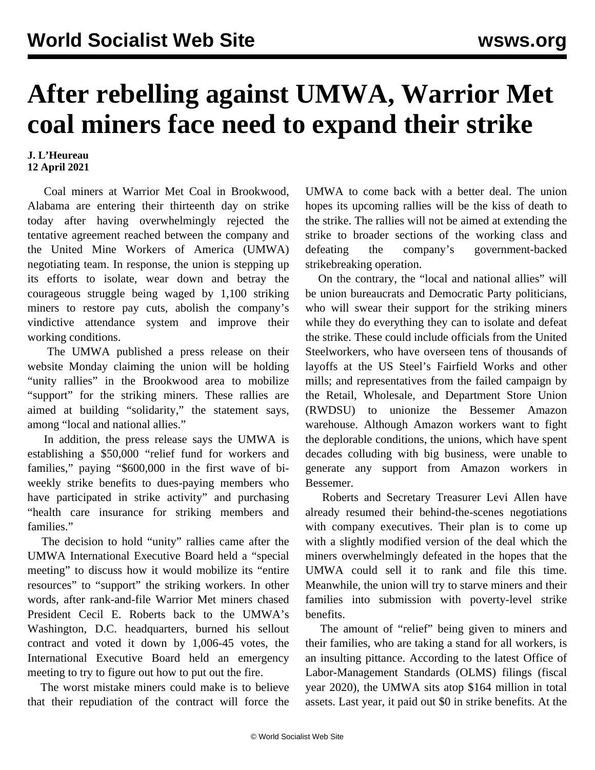## **After rebelling against UMWA, Warrior Met coal miners face need to expand their strike**

## **J. L'Heureau 12 April 2021**

 Coal miners at Warrior Met Coal in Brookwood, Alabama are entering their thirteenth day on strike today after having overwhelmingly rejected the tentative agreement reached between the company and the United Mine Workers of America (UMWA) negotiating team. In response, the union is stepping up its efforts to isolate, wear down and betray the courageous struggle being waged by 1,100 striking miners to restore pay cuts, abolish the company's vindictive attendance system and improve their working conditions.

 The UMWA published a press release on their website Monday claiming the union will be holding "unity rallies" in the Brookwood area to mobilize "support" for the striking miners. These rallies are aimed at building "solidarity," the statement says, among "local and national allies."

 In addition, the press release says the UMWA is establishing a \$50,000 "relief fund for workers and families," paying "\$600,000 in the first wave of biweekly strike benefits to dues-paying members who have participated in strike activity" and purchasing "health care insurance for striking members and families."

 The decision to hold "unity" rallies came after the UMWA International Executive Board held a "special meeting" to discuss how it would mobilize its "entire resources" to "support" the striking workers. In other words, after rank-and-file Warrior Met miners chased President Cecil E. Roberts back to the UMWA's Washington, D.C. headquarters, burned his sellout contract and voted it down by 1,006-45 votes, the International Executive Board held an emergency meeting to try to figure out how to put out the fire.

 The worst mistake miners could make is to believe that their repudiation of the contract will force the UMWA to come back with a better deal. The union hopes its upcoming rallies will be the kiss of death to the strike. The rallies will not be aimed at extending the strike to broader sections of the working class and defeating the company's government-backed strikebreaking operation.

 On the contrary, the "local and national allies" will be union bureaucrats and Democratic Party politicians, who will swear their support for the striking miners while they do everything they can to isolate and defeat the strike. These could include officials from the United Steelworkers, who have overseen tens of thousands of layoffs at the US Steel's Fairfield Works and other mills; and representatives from the failed campaign by the Retail, Wholesale, and Department Store Union (RWDSU) to unionize the Bessemer Amazon warehouse. Although Amazon workers want to fight the deplorable conditions, the unions, which have spent decades colluding with big business, were unable to generate any support from Amazon workers in Bessemer.

 Roberts and Secretary Treasurer Levi Allen have already resumed their behind-the-scenes negotiations with company executives. Their plan is to come up with a slightly modified version of the deal which the miners overwhelmingly defeated in the hopes that the UMWA could sell it to rank and file this time. Meanwhile, the union will try to starve miners and their families into submission with poverty-level strike benefits.

 The amount of "relief" being given to miners and their families, who are taking a stand for all workers, is an insulting pittance. According to the latest Office of Labor-Management Standards (OLMS) filings (fiscal year 2020), the UMWA sits atop \$164 million in total assets. Last year, it paid out \$0 in strike benefits. At the